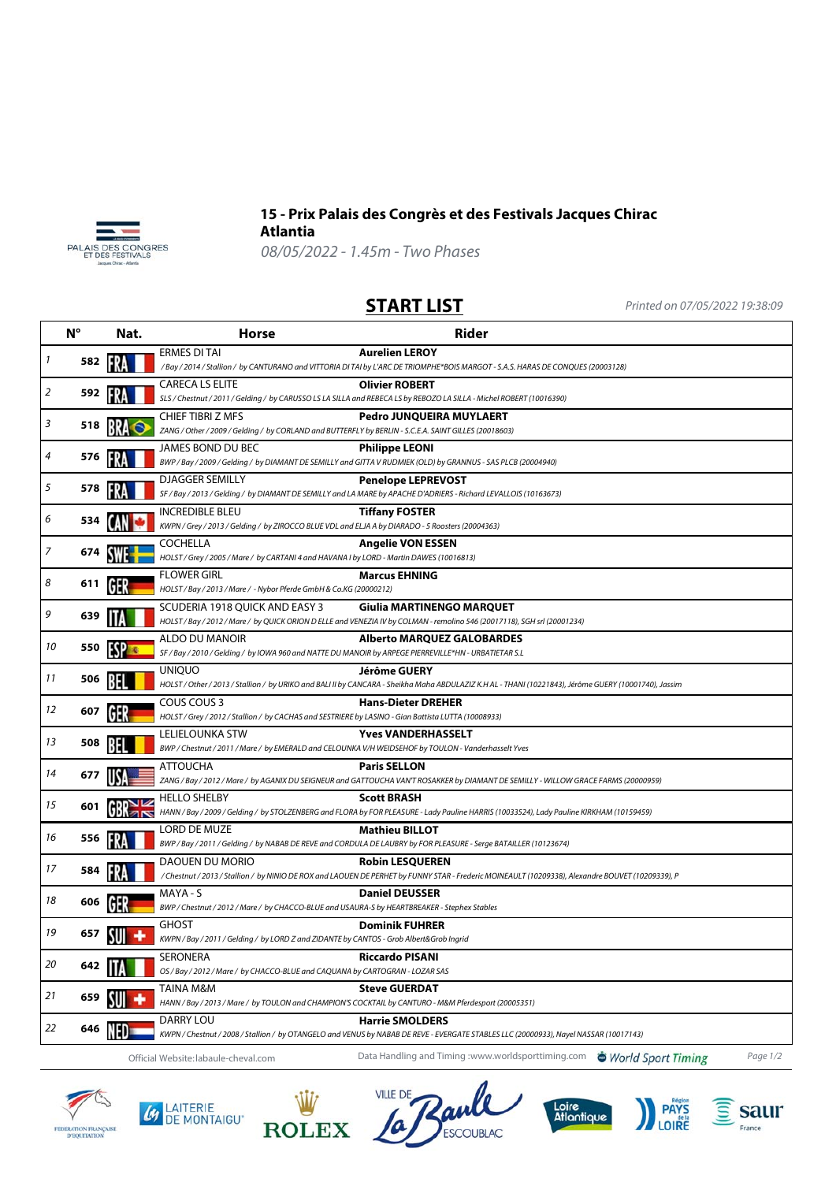



## **15 - Prix Palais des Congrès et des Festivals Jacques Chirac Atlantia**

08/05/2022 - 1.45m - Two Phases

**START LIST** Printed on 07/05/2022 19:38:09

|    | N°  | Nat. | <b>Rider</b><br><b>Horse</b>                                                                                                                                                                   |
|----|-----|------|------------------------------------------------------------------------------------------------------------------------------------------------------------------------------------------------|
| 1  | 582 |      | ERMES DI TAI<br><b>Aurelien LEROY</b><br>/Bay / 2014 / Stallion / by CANTURANO and VITTORIA DI TAI by L'ARC DE TRIOMPHE*BOIS MARGOT - S.A.S. HARAS DE CONQUES (20003128)                       |
| 2  | 592 |      | <b>CARECA LS ELITE</b><br><b>Olivier ROBERT</b>                                                                                                                                                |
|    |     |      | SLS / Chestnut / 2011 / Gelding / by CARUSSO LS LA SILLA and REBECA LS by REBOZO LA SILLA - Michel ROBERT (10016390)                                                                           |
| 3  | 518 |      | <b>CHIEF TIBRI Z MFS</b><br>Pedro JUNQUEIRA MUYLAERT<br>ZANG / Other / 2009 / Gelding / by CORLAND and BUTTERFLY by BERLIN - S.C.E.A. SAINT GILLES (20018603)                                  |
|    |     |      | JAMES BOND DU BEC<br><b>Philippe LEONI</b>                                                                                                                                                     |
| 4  | 576 |      | BWP / Bay / 2009 / Gelding / by DIAMANT DE SEMILLY and GITTA V RUDMIEK (OLD) by GRANNUS - SAS PLCB (20004940)                                                                                  |
| 5  | 578 |      | <b>DJAGGER SEMILLY</b><br><b>Penelope LEPREVOST</b><br>SF / Bay / 2013 / Gelding / by DIAMANT DE SEMILLY and LA MARE by APACHE D'ADRIERS - Richard LEVALLOIS (10163673)                        |
|    |     |      | <b>INCREDIBLE BLEU</b><br><b>Tiffany FOSTER</b>                                                                                                                                                |
| 6  | 534 |      | KWPN / Grey / 2013 / Gelding / by ZIROCCO BLUE VDL and ELJA A by DIARADO - 5 Roosters (20004363)                                                                                               |
| 7  |     |      | COCHELLA<br><b>Angelie VON ESSEN</b>                                                                                                                                                           |
|    | 674 |      | HOLST / Grey / 2005 / Mare / by CARTANI 4 and HAVANA I by LORD - Martin DAWES (10016813)                                                                                                       |
| 8  | 611 |      | <b>FLOWER GIRL</b><br><b>Marcus EHNING</b><br>HOLST / Bay / 2013 / Mare / - Nybor Pferde GmbH & Co.KG (20000212)                                                                               |
|    |     |      | SCUDERIA 1918 QUICK AND EASY 3<br>Giulia MARTINENGO MARQUET                                                                                                                                    |
| 9  | 639 |      | HOLST / Bay / 2012 / Mare / by QUICK ORION D ELLE and VENEZIA IV by COLMAN - remolino 546 (20017118), SGH srl (20001234)                                                                       |
|    |     |      | ALDO DU MANOIR<br><b>Alberto MARQUEZ GALOBARDES</b>                                                                                                                                            |
| 10 | 550 |      | SF / Bay / 2010 / Gelding / by IOWA 960 and NATTE DU MANOIR by ARPEGE PIERREVILLE*HN - URBATIETAR S.L                                                                                          |
| 11 | 506 |      | Jérôme GUERY<br><b>UNIQUO</b>                                                                                                                                                                  |
|    |     |      | HOLST / Other / 2013 / Stallion / by URIKO and BALI II by CANCARA - Sheikha Maha ABDULAZIZ K.H AL - THANI (10221843), Jérôme GUERY (10001740), Jassim                                          |
| 12 | 607 |      | COUS COUS 3<br><b>Hans-Dieter DREHER</b><br>HOLST / Grey / 2012 / Stallion / by CACHAS and SESTRIERE by LASINO - Gian Battista LUTTA (10008933)                                                |
|    |     |      | LELIELOUNKA STW<br><b>Yves VANDERHASSELT</b>                                                                                                                                                   |
| 13 | 508 |      | BWP / Chestnut / 2011 / Mare / by EMERALD and CELOUNKA V/H WEIDSEHOF by TOULON - Vanderhasselt Yves                                                                                            |
| 14 |     |      | <b>ATTOUCHA</b><br><b>Paris SELLON</b>                                                                                                                                                         |
|    | 677 |      | ZANG / Bay / 2012 / Mare / by AGANIX DU SEIGNEUR and GATTOUCHA VAN'T ROSAKKER by DIAMANT DE SEMILLY - WILLOW GRACE FARMS (20000959)                                                            |
| 15 | 601 |      | <b>HELLO SHELBY</b><br><b>Scott BRASH</b>                                                                                                                                                      |
|    |     |      | HANN / Bay / 2009 / Gelding / by STOLZENBERG and FLORA by FOR PLEASURE - Lady Pauline HARRIS (10033524), Lady Pauline KIRKHAM (10159459)                                                       |
| 16 | 556 |      | LORD DE MUZE<br><b>Mathieu BILLOT</b>                                                                                                                                                          |
|    |     |      | BWP / Bay / 2011 / Gelding / by NABAB DE REVE and CORDULA DE LAUBRY by FOR PLEASURE - Serge BATAILLER (10123674)                                                                               |
| 17 | 584 |      | DAOUEN DU MORIO<br><b>Robin LESQUEREN</b><br>/ Chestnut / 2013 / Stallion / by NINIO DE ROX and LAOUEN DE PERHET by FUNNY STAR - Frederic MOINEAULT (10209338), Alexandre BOUVET (10209339), P |
|    |     |      | <b>Daniel DEUSSER</b>                                                                                                                                                                          |
| 18 | 606 |      | MAYA - S<br>BWP / Chestnut / 2012 / Mare / by CHACCO-BLUE and USAURA-S by HEARTBREAKER - Stephex Stables                                                                                       |
|    |     |      | <b>Dominik FUHRER</b><br>GHOST                                                                                                                                                                 |
| 19 | 657 |      | KWPN / Bay / 2011 / Gelding / by LORD Z and ZIDANTE by CANTOS - Grob Albert&Grob Ingrid                                                                                                        |
| 20 | 642 |      | SERONERA<br>Riccardo PISANI                                                                                                                                                                    |
|    |     |      | OS / Bay / 2012 / Mare / by CHACCO-BLUE and CAQUANA by CARTOGRAN - LOZAR SAS                                                                                                                   |
| 21 | 659 |      | TAINA M&M<br><b>Steve GUERDAT</b>                                                                                                                                                              |
|    |     |      | HANN / Bay / 2013 / Mare / by TOULON and CHAMPION'S COCKTAIL by CANTURO - M&M Pferdesport (20005351)                                                                                           |
| 22 | 646 |      | DARRY LOU<br><b>Harrie SMOLDERS</b><br>KWPN / Chestnut / 2008 / Stallion / by OTANGELO and VENUS by NABAB DE REVE - EVERGATE STABLES LLC (20000933), Nayel NASSAR (10017143)                   |
|    |     |      | Data Handling and Timing :www.worldsporttiming.com World Sport Timing<br>Page 1/2                                                                                                              |
|    |     |      | Official Website: labaule-cheval.com                                                                                                                                                           |

FIDERATION FRANÇAISE<br>D'EQUITATION